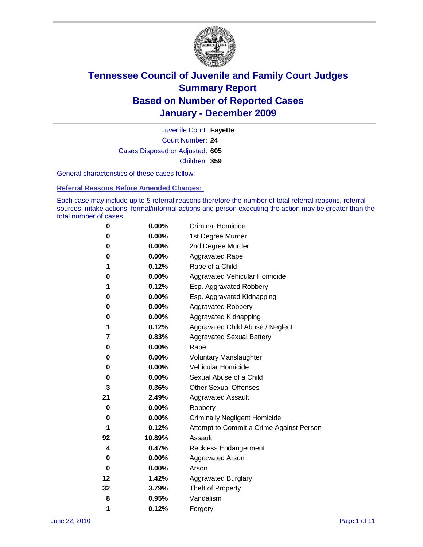

Court Number: **24** Juvenile Court: **Fayette** Cases Disposed or Adjusted: **605** Children: **359**

General characteristics of these cases follow:

**Referral Reasons Before Amended Charges:** 

Each case may include up to 5 referral reasons therefore the number of total referral reasons, referral sources, intake actions, formal/informal actions and person executing the action may be greater than the total number of cases.

| 0  | 0.00%    | <b>Criminal Homicide</b>                 |
|----|----------|------------------------------------------|
| 0  | 0.00%    | 1st Degree Murder                        |
| 0  | 0.00%    | 2nd Degree Murder                        |
| 0  | 0.00%    | <b>Aggravated Rape</b>                   |
| 1  | 0.12%    | Rape of a Child                          |
| 0  | 0.00%    | Aggravated Vehicular Homicide            |
| 1  | 0.12%    | Esp. Aggravated Robbery                  |
| 0  | 0.00%    | Esp. Aggravated Kidnapping               |
| 0  | 0.00%    | <b>Aggravated Robbery</b>                |
| 0  | 0.00%    | Aggravated Kidnapping                    |
| 1  | 0.12%    | Aggravated Child Abuse / Neglect         |
| 7  | 0.83%    | <b>Aggravated Sexual Battery</b>         |
| 0  | 0.00%    | Rape                                     |
| 0  | $0.00\%$ | <b>Voluntary Manslaughter</b>            |
| 0  | 0.00%    | Vehicular Homicide                       |
| 0  | 0.00%    | Sexual Abuse of a Child                  |
| 3  | 0.36%    | <b>Other Sexual Offenses</b>             |
| 21 | 2.49%    | <b>Aggravated Assault</b>                |
| 0  | $0.00\%$ | Robbery                                  |
| 0  | 0.00%    | <b>Criminally Negligent Homicide</b>     |
| 1  | 0.12%    | Attempt to Commit a Crime Against Person |
| 92 | 10.89%   | Assault                                  |
| 4  | 0.47%    | <b>Reckless Endangerment</b>             |
| 0  | 0.00%    | <b>Aggravated Arson</b>                  |
| 0  | 0.00%    | Arson                                    |
| 12 | 1.42%    | <b>Aggravated Burglary</b>               |
| 32 | 3.79%    | Theft of Property                        |
| 8  | 0.95%    | Vandalism                                |
| 1  | 0.12%    | Forgery                                  |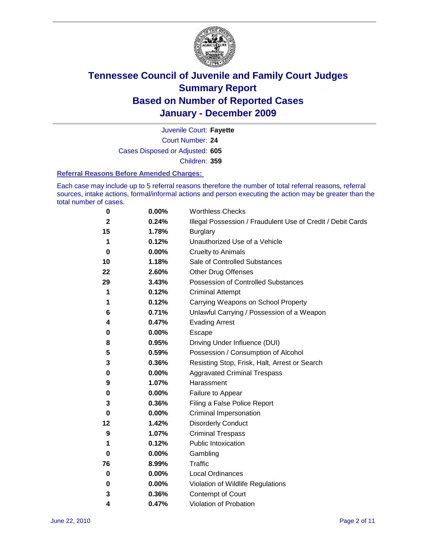

Court Number: **24** Juvenile Court: **Fayette** Cases Disposed or Adjusted: **605** Children: **359**

#### **Referral Reasons Before Amended Charges:**

Each case may include up to 5 referral reasons therefore the number of total referral reasons, referral sources, intake actions, formal/informal actions and person executing the action may be greater than the total number of cases.

| 0            | 0.00%    | <b>Worthless Checks</b>                                     |
|--------------|----------|-------------------------------------------------------------|
| $\mathbf{2}$ | 0.24%    | Illegal Possession / Fraudulent Use of Credit / Debit Cards |
| 15           | 1.78%    | <b>Burglary</b>                                             |
| 1            | 0.12%    | Unauthorized Use of a Vehicle                               |
| 0            | $0.00\%$ | <b>Cruelty to Animals</b>                                   |
| 10           | 1.18%    | Sale of Controlled Substances                               |
| 22           | 2.60%    | <b>Other Drug Offenses</b>                                  |
| 29           | 3.43%    | Possession of Controlled Substances                         |
| 1            | 0.12%    | <b>Criminal Attempt</b>                                     |
| 1            | 0.12%    | Carrying Weapons on School Property                         |
| 6            | 0.71%    | Unlawful Carrying / Possession of a Weapon                  |
| 4            | 0.47%    | <b>Evading Arrest</b>                                       |
| 0            | 0.00%    | Escape                                                      |
| 8            | 0.95%    | Driving Under Influence (DUI)                               |
| 5            | 0.59%    | Possession / Consumption of Alcohol                         |
| 3            | 0.36%    | Resisting Stop, Frisk, Halt, Arrest or Search               |
| 0            | 0.00%    | <b>Aggravated Criminal Trespass</b>                         |
| 9            | 1.07%    | Harassment                                                  |
| 0            | 0.00%    | Failure to Appear                                           |
| 3            | 0.36%    | Filing a False Police Report                                |
| 0            | 0.00%    | Criminal Impersonation                                      |
| 12           | 1.42%    | <b>Disorderly Conduct</b>                                   |
| 9            | 1.07%    | <b>Criminal Trespass</b>                                    |
| 1            | 0.12%    | <b>Public Intoxication</b>                                  |
| 0            | 0.00%    | Gambling                                                    |
| 76           | 8.99%    | <b>Traffic</b>                                              |
| 0            | $0.00\%$ | <b>Local Ordinances</b>                                     |
| 0            | 0.00%    | Violation of Wildlife Regulations                           |
| 3            | 0.36%    | Contempt of Court                                           |
| 4            | 0.47%    | Violation of Probation                                      |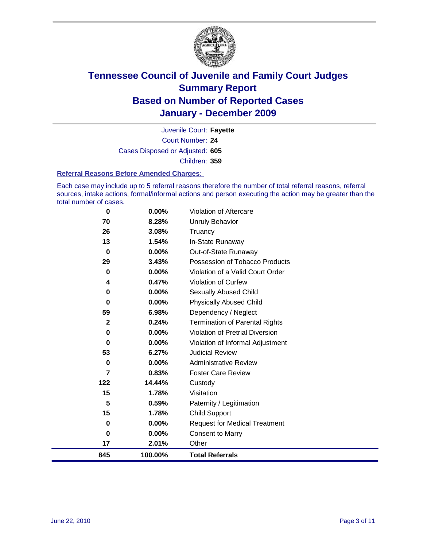

Court Number: **24** Juvenile Court: **Fayette** Cases Disposed or Adjusted: **605** Children: **359**

#### **Referral Reasons Before Amended Charges:**

Each case may include up to 5 referral reasons therefore the number of total referral reasons, referral sources, intake actions, formal/informal actions and person executing the action may be greater than the total number of cases.

| 0              | 0.00%   | Violation of Aftercare                 |
|----------------|---------|----------------------------------------|
| 70             | 8.28%   | Unruly Behavior                        |
| 26             | 3.08%   | Truancy                                |
| 13             | 1.54%   | In-State Runaway                       |
| $\bf{0}$       | 0.00%   | Out-of-State Runaway                   |
| 29             | 3.43%   | Possession of Tobacco Products         |
| 0              | 0.00%   | Violation of a Valid Court Order       |
| 4              | 0.47%   | Violation of Curfew                    |
| 0              | 0.00%   | Sexually Abused Child                  |
| 0              | 0.00%   | <b>Physically Abused Child</b>         |
| 59             | 6.98%   | Dependency / Neglect                   |
| $\overline{2}$ | 0.24%   | <b>Termination of Parental Rights</b>  |
| 0              | 0.00%   | <b>Violation of Pretrial Diversion</b> |
| 0              | 0.00%   | Violation of Informal Adjustment       |
| 53             | 6.27%   | <b>Judicial Review</b>                 |
| 0              | 0.00%   | <b>Administrative Review</b>           |
| $\overline{7}$ | 0.83%   | <b>Foster Care Review</b>              |
| 122            | 14.44%  | Custody                                |
| 15             | 1.78%   | Visitation                             |
| 5              | 0.59%   | Paternity / Legitimation               |
| 15             | 1.78%   | <b>Child Support</b>                   |
| 0              | 0.00%   | <b>Request for Medical Treatment</b>   |
| 0              | 0.00%   | <b>Consent to Marry</b>                |
| 17             | 2.01%   | Other                                  |
| 845            | 100.00% | <b>Total Referrals</b>                 |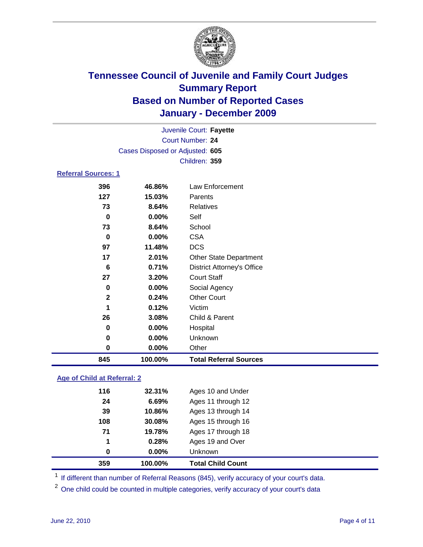

|                            |                                 | Juvenile Court: Fayette           |  |
|----------------------------|---------------------------------|-----------------------------------|--|
| <b>Court Number: 24</b>    |                                 |                                   |  |
|                            | Cases Disposed or Adjusted: 605 |                                   |  |
|                            |                                 | Children: 359                     |  |
| <b>Referral Sources: 1</b> |                                 |                                   |  |
| 396                        | 46.86%                          | Law Enforcement                   |  |
| 127                        | 15.03%                          | Parents                           |  |
| 73                         | 8.64%                           | Relatives                         |  |
| 0                          | $0.00\%$                        | Self                              |  |
| 73                         | 8.64%                           | School                            |  |
| 0                          | $0.00\%$                        | <b>CSA</b>                        |  |
| 97                         | 11.48%                          | <b>DCS</b>                        |  |
| 17                         | 2.01%                           | <b>Other State Department</b>     |  |
| 6                          | 0.71%                           | <b>District Attorney's Office</b> |  |
| 27                         | 3.20%                           | <b>Court Staff</b>                |  |
| 0                          | $0.00\%$                        | Social Agency                     |  |
| $\overline{2}$             | 0.24%                           | <b>Other Court</b>                |  |
| 1                          | 0.12%                           | Victim                            |  |
| 26                         | 3.08%                           | Child & Parent                    |  |
| 0                          | $0.00\%$                        | Hospital                          |  |
| 0                          | $0.00\%$                        | Unknown                           |  |
| $\bf{0}$                   | 0.00%                           | Other                             |  |
| 845                        | 100.00%                         | <b>Total Referral Sources</b>     |  |

### **Age of Child at Referral: 2**

| 359 | 100.00% | <b>Total Child Count</b> |
|-----|---------|--------------------------|
| 0   | 0.00%   | <b>Unknown</b>           |
| 1   | 0.28%   | Ages 19 and Over         |
| 71  | 19.78%  | Ages 17 through 18       |
| 108 | 30.08%  | Ages 15 through 16       |
| 39  | 10.86%  | Ages 13 through 14       |
| 24  | 6.69%   | Ages 11 through 12       |
| 116 | 32.31%  | Ages 10 and Under        |
|     |         |                          |

<sup>1</sup> If different than number of Referral Reasons (845), verify accuracy of your court's data.

<sup>2</sup> One child could be counted in multiple categories, verify accuracy of your court's data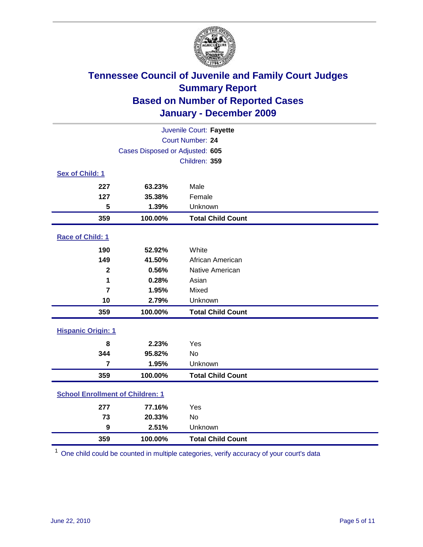

| Juvenile Court: Fayette                 |                                 |                          |  |  |
|-----------------------------------------|---------------------------------|--------------------------|--|--|
| Court Number: 24                        |                                 |                          |  |  |
|                                         | Cases Disposed or Adjusted: 605 |                          |  |  |
|                                         |                                 | Children: 359            |  |  |
| Sex of Child: 1                         |                                 |                          |  |  |
| 227                                     | 63.23%                          | Male                     |  |  |
| 127                                     | 35.38%                          | Female                   |  |  |
| 5                                       | 1.39%                           | Unknown                  |  |  |
| 359                                     | 100.00%                         | <b>Total Child Count</b> |  |  |
| Race of Child: 1                        |                                 |                          |  |  |
| 190                                     | 52.92%                          | White                    |  |  |
| 149                                     | 41.50%                          | African American         |  |  |
| $\overline{\mathbf{2}}$                 | 0.56%                           | Native American          |  |  |
| 1                                       | 0.28%                           | Asian                    |  |  |
| $\overline{7}$                          | 1.95%                           | Mixed                    |  |  |
| 10                                      | 2.79%                           | Unknown                  |  |  |
| 359                                     | 100.00%                         | <b>Total Child Count</b> |  |  |
| <b>Hispanic Origin: 1</b>               |                                 |                          |  |  |
| 8                                       | 2.23%                           | Yes                      |  |  |
| 344                                     | 95.82%                          | No                       |  |  |
| $\overline{7}$                          | 1.95%                           | Unknown                  |  |  |
| 359                                     | 100.00%                         | <b>Total Child Count</b> |  |  |
| <b>School Enrollment of Children: 1</b> |                                 |                          |  |  |
| 277                                     | 77.16%                          | Yes                      |  |  |
| 73                                      | 20.33%                          | No                       |  |  |
| $\boldsymbol{9}$                        | 2.51%                           | Unknown                  |  |  |
| 359                                     | 100.00%                         | <b>Total Child Count</b> |  |  |

One child could be counted in multiple categories, verify accuracy of your court's data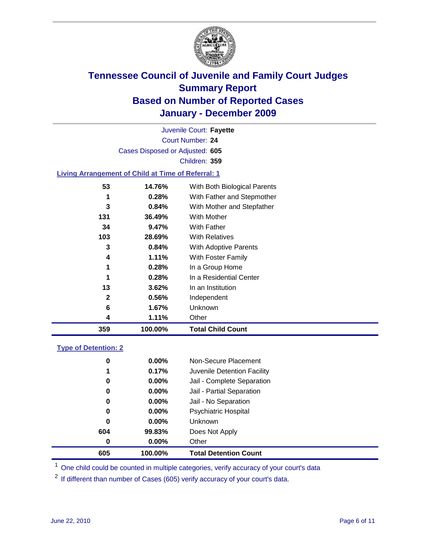

Court Number: **24** Juvenile Court: **Fayette** Cases Disposed or Adjusted: **605** Children: **359**

### **Living Arrangement of Child at Time of Referral: 1**

| $\mathbf{2}$<br>6<br>4 | 0.56%<br>1.67%<br>1.11% | Independent<br>Unknown<br>Other |
|------------------------|-------------------------|---------------------------------|
|                        |                         |                                 |
|                        |                         |                                 |
|                        |                         |                                 |
| 13                     | 3.62%                   | In an Institution               |
| 1                      | 0.28%                   | In a Residential Center         |
| 1                      | 0.28%                   | In a Group Home                 |
| 4                      | $1.11\%$                | With Foster Family              |
| 3                      | 0.84%                   | With Adoptive Parents           |
| 103                    | 28.69%                  | <b>With Relatives</b>           |
| 34                     | 9.47%                   | With Father                     |
| 131                    | 36.49%                  | With Mother                     |
| 3                      | 0.84%                   | With Mother and Stepfather      |
| 1                      | 0.28%                   | With Father and Stepmother      |
| 53                     | 14.76%                  | With Both Biological Parents    |
|                        |                         |                                 |

#### **Type of Detention: 2**

| 605 | 100.00%  | <b>Total Detention Count</b> |  |
|-----|----------|------------------------------|--|
| 0   | 0.00%    | Other                        |  |
| 604 | 99.83%   | Does Not Apply               |  |
| 0   | $0.00\%$ | <b>Unknown</b>               |  |
| 0   | $0.00\%$ | <b>Psychiatric Hospital</b>  |  |
| 0   | 0.00%    | Jail - No Separation         |  |
| 0   | $0.00\%$ | Jail - Partial Separation    |  |
| 0   | $0.00\%$ | Jail - Complete Separation   |  |
| 1   | 0.17%    | Juvenile Detention Facility  |  |
| 0   | $0.00\%$ | Non-Secure Placement         |  |
|     |          |                              |  |

<sup>1</sup> One child could be counted in multiple categories, verify accuracy of your court's data

<sup>2</sup> If different than number of Cases (605) verify accuracy of your court's data.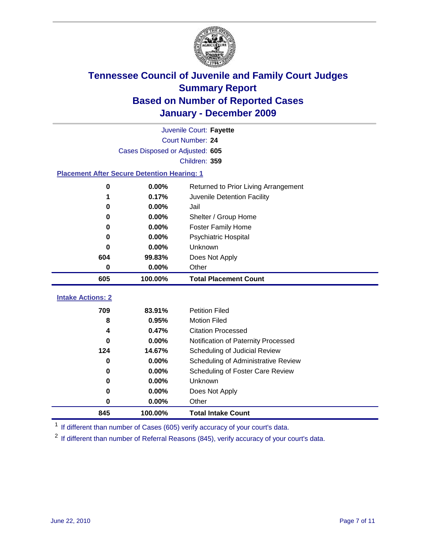

|                                                    | Juvenile Court: Fayette         |                                      |  |  |  |
|----------------------------------------------------|---------------------------------|--------------------------------------|--|--|--|
|                                                    | <b>Court Number: 24</b>         |                                      |  |  |  |
|                                                    | Cases Disposed or Adjusted: 605 |                                      |  |  |  |
|                                                    |                                 | Children: 359                        |  |  |  |
| <b>Placement After Secure Detention Hearing: 1</b> |                                 |                                      |  |  |  |
| 0                                                  | 0.00%                           | Returned to Prior Living Arrangement |  |  |  |
| 1                                                  | 0.17%                           | Juvenile Detention Facility          |  |  |  |
| 0                                                  | $0.00\%$                        | Jail                                 |  |  |  |
| 0                                                  | 0.00%                           | Shelter / Group Home                 |  |  |  |
| 0                                                  | 0.00%                           | <b>Foster Family Home</b>            |  |  |  |
| 0                                                  | 0.00%                           | <b>Psychiatric Hospital</b>          |  |  |  |
| O                                                  | 0.00%                           | <b>Unknown</b>                       |  |  |  |
| 604                                                | 99.83%                          | Does Not Apply                       |  |  |  |
| 0                                                  | 0.00%                           | Other                                |  |  |  |
| 605                                                | 100.00%                         | <b>Total Placement Count</b>         |  |  |  |
| <b>Intake Actions: 2</b>                           |                                 |                                      |  |  |  |
| 709                                                | 83.91%                          | <b>Petition Filed</b>                |  |  |  |
| 8                                                  | 0.95%                           | <b>Motion Filed</b>                  |  |  |  |
| 4                                                  | 0.47%                           | <b>Citation Processed</b>            |  |  |  |
| 0                                                  | 0.00%                           | Notification of Paternity Processed  |  |  |  |
| 124                                                | 14.67%                          | Scheduling of Judicial Review        |  |  |  |
| $\bf{0}$                                           | 0.00%                           | Scheduling of Administrative Review  |  |  |  |
| 0                                                  | 0.00%                           | Scheduling of Foster Care Review     |  |  |  |
| 0                                                  | 0.00%                           | <b>Unknown</b>                       |  |  |  |
| 0                                                  | 0.00%                           | Does Not Apply                       |  |  |  |

<sup>1</sup> If different than number of Cases (605) verify accuracy of your court's data.

**100.00% Total Intake Count**

<sup>2</sup> If different than number of Referral Reasons (845), verify accuracy of your court's data.

**0.00%** Other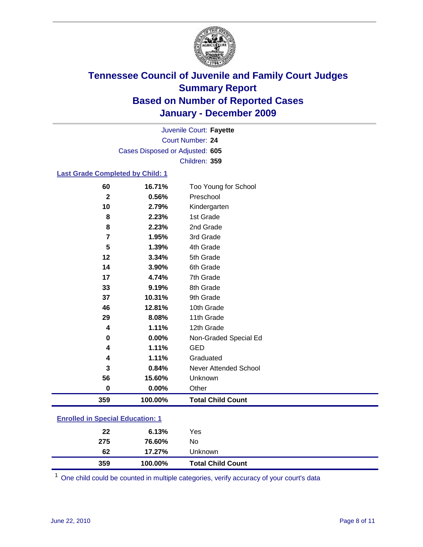

Court Number: **24** Juvenile Court: **Fayette** Cases Disposed or Adjusted: **605** Children: **359**

### **Last Grade Completed by Child: 1**

| 60                                      | 16.71%  | Too Young for School         |  |
|-----------------------------------------|---------|------------------------------|--|
| $\mathbf{2}$                            | 0.56%   | Preschool                    |  |
| 10                                      | 2.79%   | Kindergarten                 |  |
| 8                                       | 2.23%   | 1st Grade                    |  |
| 8                                       | 2.23%   | 2nd Grade                    |  |
| 7                                       | 1.95%   | 3rd Grade                    |  |
| 5                                       | 1.39%   | 4th Grade                    |  |
| 12                                      | 3.34%   | 5th Grade                    |  |
| 14                                      | 3.90%   | 6th Grade                    |  |
| 17                                      | 4.74%   | 7th Grade                    |  |
| 33                                      | 9.19%   | 8th Grade                    |  |
| 37                                      | 10.31%  | 9th Grade                    |  |
| 46                                      | 12.81%  | 10th Grade                   |  |
| 29                                      | 8.08%   | 11th Grade                   |  |
| 4                                       | 1.11%   | 12th Grade                   |  |
| 0                                       | 0.00%   | Non-Graded Special Ed        |  |
| 4                                       | 1.11%   | <b>GED</b>                   |  |
| 4                                       | 1.11%   | Graduated                    |  |
| 3                                       | 0.84%   | <b>Never Attended School</b> |  |
| 56                                      | 15.60%  | Unknown                      |  |
| $\mathbf 0$                             | 0.00%   | Other                        |  |
| 359                                     | 100.00% | <b>Total Child Count</b>     |  |
| <b>Enrolled in Special Education: 1</b> |         |                              |  |

| 359                                      | 100.00% | <b>Total Child Count</b> |  |  |
|------------------------------------------|---------|--------------------------|--|--|
| 62                                       | 17.27%  | Unknown                  |  |  |
| 275                                      | 76.60%  | No.                      |  |  |
| 22                                       | 6.13%   | Yes                      |  |  |
| <u>Ellioned III Special Education. T</u> |         |                          |  |  |

One child could be counted in multiple categories, verify accuracy of your court's data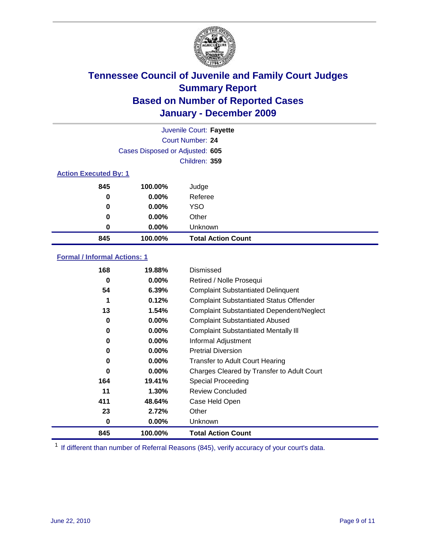

|                              | Juvenile Court: Fayette         |                           |  |  |
|------------------------------|---------------------------------|---------------------------|--|--|
|                              | <b>Court Number: 24</b>         |                           |  |  |
|                              | Cases Disposed or Adjusted: 605 |                           |  |  |
|                              |                                 | Children: 359             |  |  |
| <b>Action Executed By: 1</b> |                                 |                           |  |  |
| 845                          | 100.00%                         | Judge                     |  |  |
| 0                            | $0.00\%$                        | Referee                   |  |  |
| 0                            | $0.00\%$                        | <b>YSO</b>                |  |  |
| 0                            | 0.00%                           | Other                     |  |  |
| 0                            | 0.00%                           | Unknown                   |  |  |
| 845                          | 100.00%                         | <b>Total Action Count</b> |  |  |

### **Formal / Informal Actions: 1**

| 168 | 19.88%   | Dismissed                                        |
|-----|----------|--------------------------------------------------|
| 0   | $0.00\%$ | Retired / Nolle Prosequi                         |
| 54  | 6.39%    | <b>Complaint Substantiated Delinquent</b>        |
| 1   | 0.12%    | <b>Complaint Substantiated Status Offender</b>   |
| 13  | 1.54%    | <b>Complaint Substantiated Dependent/Neglect</b> |
| 0   | $0.00\%$ | <b>Complaint Substantiated Abused</b>            |
| 0   | $0.00\%$ | <b>Complaint Substantiated Mentally III</b>      |
| 0   | $0.00\%$ | Informal Adjustment                              |
| 0   | $0.00\%$ | <b>Pretrial Diversion</b>                        |
| 0   | $0.00\%$ | <b>Transfer to Adult Court Hearing</b>           |
| 0   | $0.00\%$ | Charges Cleared by Transfer to Adult Court       |
| 164 | 19.41%   | Special Proceeding                               |
| 11  | 1.30%    | <b>Review Concluded</b>                          |
| 411 | 48.64%   | Case Held Open                                   |
| 23  | 2.72%    | Other                                            |
| 0   | $0.00\%$ | Unknown                                          |
| 845 | 100.00%  | <b>Total Action Count</b>                        |

<sup>1</sup> If different than number of Referral Reasons (845), verify accuracy of your court's data.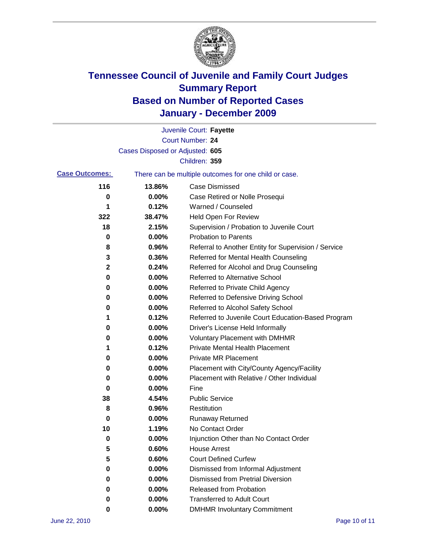

|                       |                                 | Juvenile Court: Fayette                               |
|-----------------------|---------------------------------|-------------------------------------------------------|
|                       |                                 | <b>Court Number: 24</b>                               |
|                       | Cases Disposed or Adjusted: 605 |                                                       |
|                       |                                 | Children: 359                                         |
| <b>Case Outcomes:</b> |                                 | There can be multiple outcomes for one child or case. |
| 116                   | 13.86%                          | <b>Case Dismissed</b>                                 |
| 0                     | 0.00%                           | Case Retired or Nolle Prosequi                        |
| 1                     | 0.12%                           | Warned / Counseled                                    |
| 322                   | 38.47%                          | Held Open For Review                                  |
| 18                    | 2.15%                           | Supervision / Probation to Juvenile Court             |
| 0                     | 0.00%                           | <b>Probation to Parents</b>                           |
| 8                     | 0.96%                           | Referral to Another Entity for Supervision / Service  |
| 3                     | 0.36%                           | Referred for Mental Health Counseling                 |
| $\mathbf 2$           | 0.24%                           | Referred for Alcohol and Drug Counseling              |
| 0                     | 0.00%                           | <b>Referred to Alternative School</b>                 |
| 0                     | 0.00%                           | Referred to Private Child Agency                      |
| 0                     | 0.00%                           | Referred to Defensive Driving School                  |
| 0                     | 0.00%                           | Referred to Alcohol Safety School                     |
| 1                     | 0.12%                           | Referred to Juvenile Court Education-Based Program    |
| 0                     | 0.00%                           | Driver's License Held Informally                      |
| 0                     | 0.00%                           | <b>Voluntary Placement with DMHMR</b>                 |
| 1                     | 0.12%                           | <b>Private Mental Health Placement</b>                |
| 0                     | 0.00%                           | <b>Private MR Placement</b>                           |
| 0                     | 0.00%                           | Placement with City/County Agency/Facility            |
| 0                     | 0.00%                           | Placement with Relative / Other Individual            |
| 0                     | 0.00%                           | Fine                                                  |
| 38                    | 4.54%                           | <b>Public Service</b>                                 |
| 8                     | 0.96%                           | Restitution                                           |
| 0                     | 0.00%                           | <b>Runaway Returned</b>                               |
| 10                    | 1.19%                           | No Contact Order                                      |
| 0                     | 0.00%                           | Injunction Other than No Contact Order                |
| 5                     | 0.60%                           | <b>House Arrest</b>                                   |
| 5                     | 0.60%                           | <b>Court Defined Curfew</b>                           |
| 0                     | 0.00%                           | Dismissed from Informal Adjustment                    |
| 0                     | 0.00%                           | <b>Dismissed from Pretrial Diversion</b>              |
| 0                     | 0.00%                           | Released from Probation                               |
| 0                     | 0.00%                           | <b>Transferred to Adult Court</b>                     |
| 0                     | $0.00\%$                        | <b>DMHMR Involuntary Commitment</b>                   |